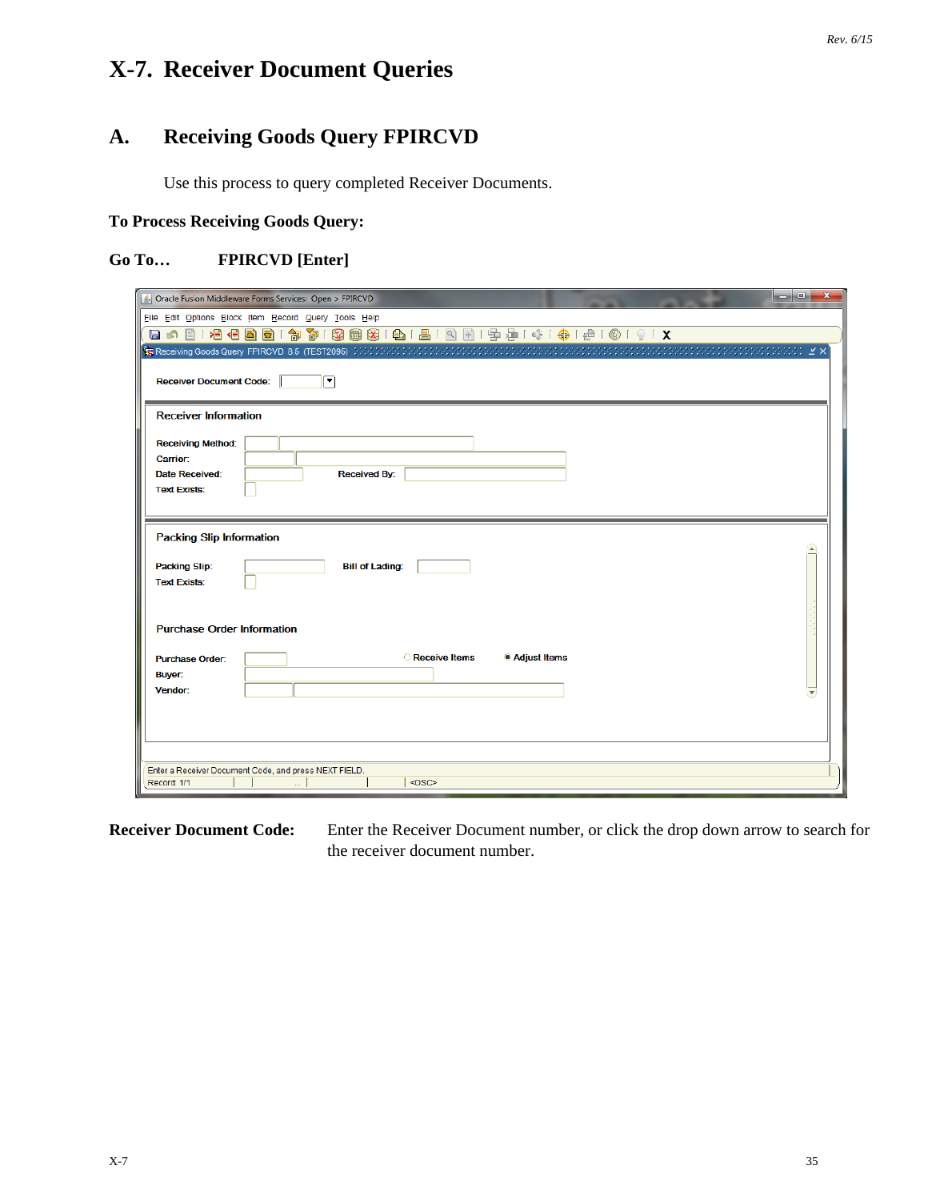# **X-7. Receiver Document Queries**

# **A. Receiving Goods Query FPIRCVD**

Use this process to query completed Receiver Documents.

### **To Process Receiving Goods Query:**

### **Go To… FPIRCVD [Enter]**

| — 0.<br>$\mathbf{x}$<br>△ Oracle Fusion Middleware Forms Services: Open > FPIRCVD |
|-----------------------------------------------------------------------------------|
| File Edit Options Block Item Record Query Tools Help                              |
| 日の日1月4日国国1家百20国纪141日120日12月13日14月4日10191X                                         |
|                                                                                   |
| <b>Receiver Document Code:</b><br>▼                                               |
| <b>Receiver Information</b>                                                       |
| <b>Receiving Method:</b>                                                          |
| Carrier:                                                                          |
| <b>Date Received:</b><br><b>Received By:</b>                                      |
| <b>Text Exists:</b>                                                               |
|                                                                                   |
| <b>Packing Slip Information</b>                                                   |
|                                                                                   |
| <b>Packing Slip:</b><br><b>Bill of Lading:</b><br><b>Text Exists:</b>             |
|                                                                                   |
|                                                                                   |
| <b>Purchase Order Information</b>                                                 |
| <b>C</b> Receive Items<br>Adjust Items                                            |
| <b>Purchase Order:</b><br>Buyer:                                                  |
| Vendor:                                                                           |
|                                                                                   |
|                                                                                   |
|                                                                                   |
|                                                                                   |
| Enter a Receiver Document Code, and press NEXT FIELD.<br>$<$ OSC><br>Record: 1/1  |
|                                                                                   |

**Receiver Document Code:** Enter the Receiver Document number, or click the drop down arrow to search for the receiver document number.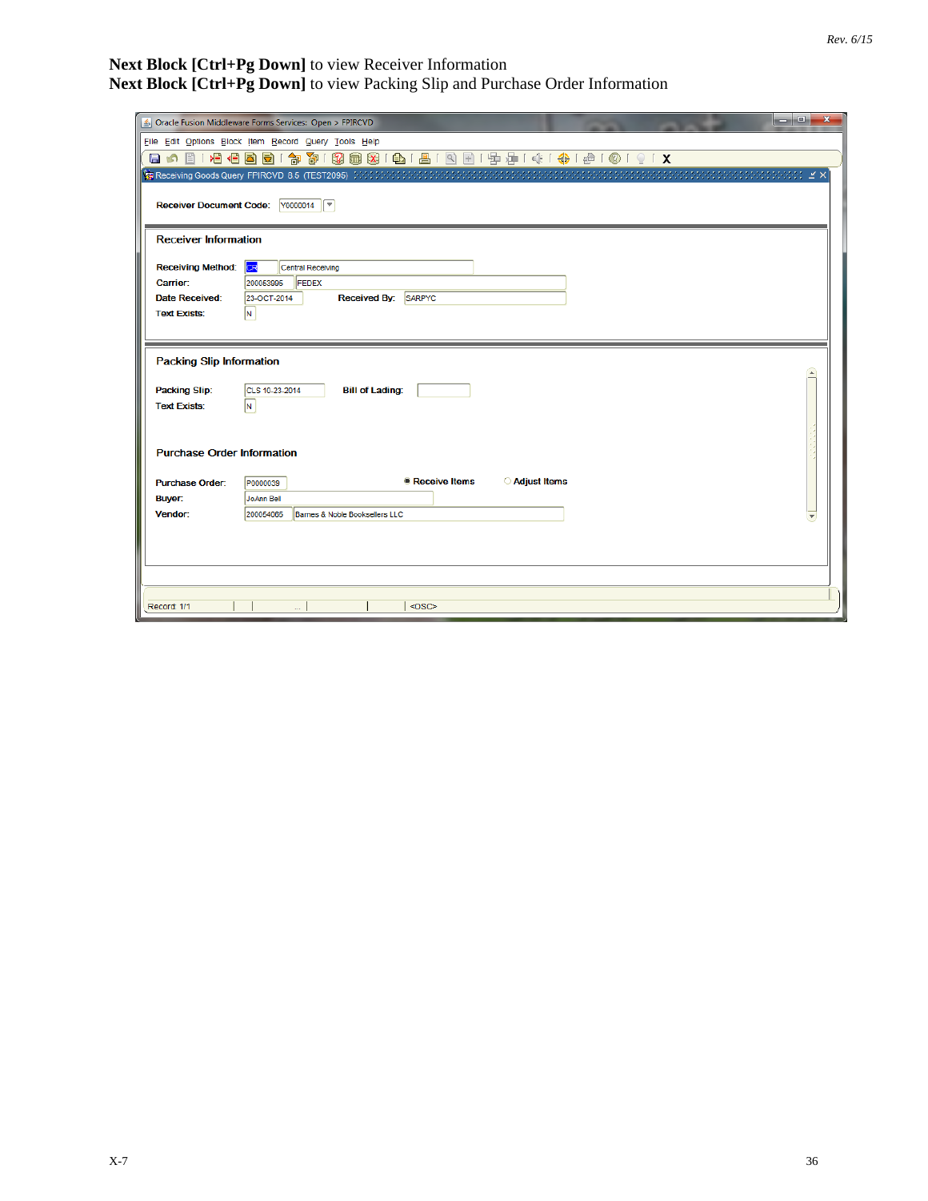#### **Next Block [Ctrl+Pg Down]** to view Receiver Information **Next Block [Ctrl+Pg Down]** to view Packing Slip and Purchase Order Information

|                                   | $\mathbf{x}$                                                        |
|-----------------------------------|---------------------------------------------------------------------|
|                                   | and Or<br>S Oracle Fusion Middleware Forms Services: Open > FPIRCVD |
|                                   | File Edit Options Block Item Record Query Tools Help                |
|                                   | 日の日1日日目目1台30180周1日1日1日1日1日1日1号中1米1台10191X                           |
|                                   |                                                                     |
|                                   |                                                                     |
| <b>Receiver Document Code:</b>    | $\sqrt{00000014}$                                                   |
|                                   |                                                                     |
| <b>Receiver Information</b>       |                                                                     |
|                                   |                                                                     |
| <b>Receiving Method:</b>          | CR<br>Central Receiving                                             |
| Carrier:                          | 200053995<br><b>FEDEX</b>                                           |
| <b>Date Received:</b>             | <b>Received By:</b><br>23-OCT-2014<br><b>SARPYC</b>                 |
| <b>Text Exists:</b>               | N.                                                                  |
|                                   |                                                                     |
|                                   |                                                                     |
| <b>Packing Slip Information</b>   |                                                                     |
|                                   |                                                                     |
| <b>Packing Slip:</b>              | <b>Bill of Lading:</b><br>CLS 10-23-2014                            |
| <b>Text Exists:</b>               | IN.                                                                 |
|                                   |                                                                     |
|                                   |                                                                     |
| <b>Purchase Order Information</b> |                                                                     |
|                                   |                                                                     |
| <b>Purchase Order:</b>            | Receive Items<br><b>Adjust Items</b><br>P0000039                    |
| <b>Buyer:</b>                     | JoAnn Bell                                                          |
| Vendor:                           | 200054065<br>Barnes & Noble Booksellers LLC                         |
|                                   |                                                                     |
|                                   |                                                                     |
|                                   |                                                                     |
|                                   |                                                                     |
|                                   |                                                                     |
| Record: 1/1                       | $<$ OSC>                                                            |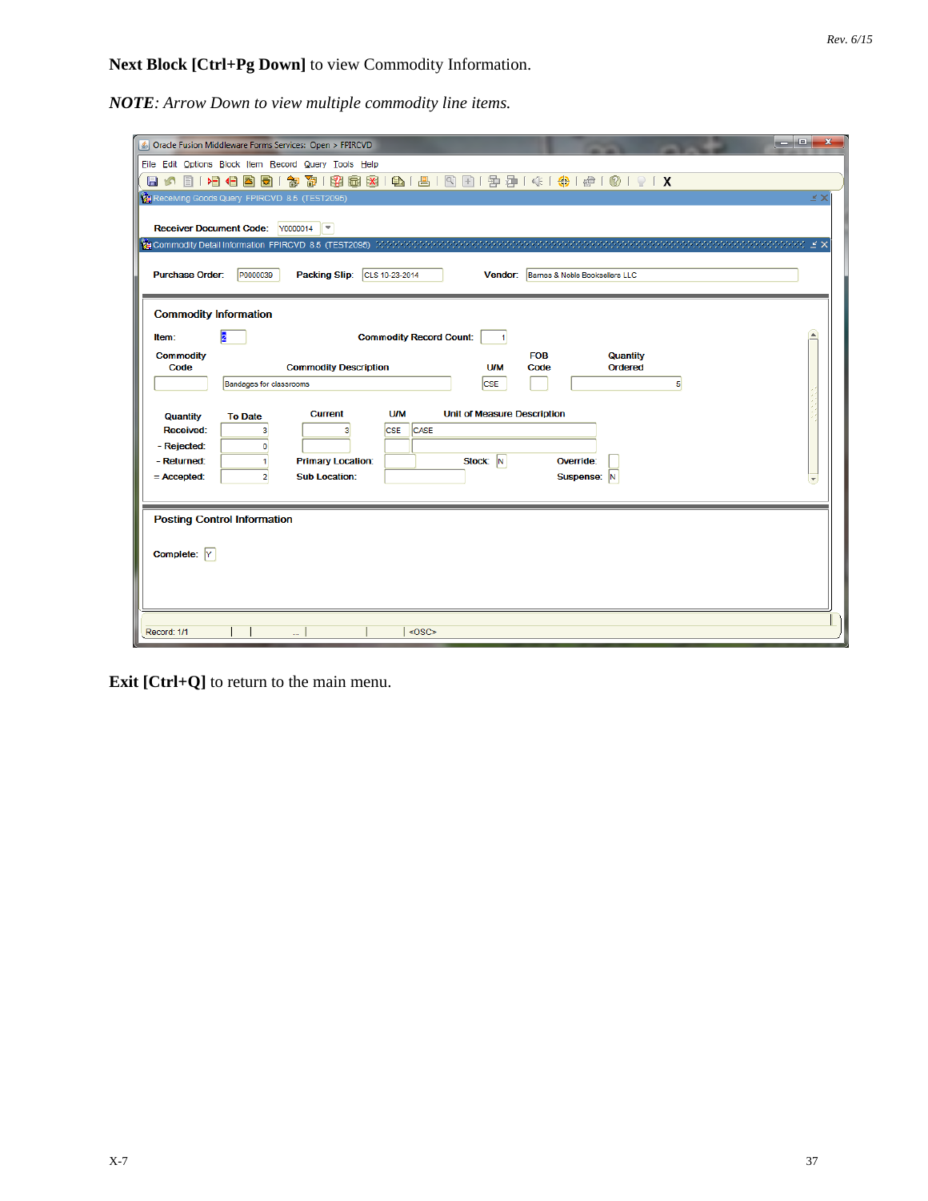**Next Block [Ctrl+Pg Down]** to view Commodity Information.

*NOTE: Arrow Down to view multiple commodity line items.* 

|                                                                                    | أقاصا<br>$\mathbf{x}$<br>Oracle Fusion Middleware Forms Services: Open > FPIRCVD                                                                                                                                           |
|------------------------------------------------------------------------------------|----------------------------------------------------------------------------------------------------------------------------------------------------------------------------------------------------------------------------|
|                                                                                    | File Edit Options Block Item Record Query Tools Help                                                                                                                                                                       |
|                                                                                    | 日の目1日七日同1台で1段画図1日1日1日1日1日中小村1台10191X                                                                                                                                                                                       |
|                                                                                    | КX<br>Receiving Goods Query FPIRCVD 8.5 (TEST2095)                                                                                                                                                                         |
|                                                                                    | Receiver Document Code: Y0000014                                                                                                                                                                                           |
|                                                                                    | odododododo k                                                                                                                                                                                                              |
| <b>Purchase Order:</b>                                                             | CLS 10-23-2014<br>Vendor: Barnes & Noble Booksellers LLC<br>P0000039<br><b>Packing Slip:</b>                                                                                                                               |
| <b>Commodity Information</b>                                                       |                                                                                                                                                                                                                            |
| $\overline{2}$<br>Item:                                                            | <b>Commodity Record Count:</b><br>$\vert$ 1                                                                                                                                                                                |
| <b>Commodity</b><br>Code                                                           | <b>FOB</b><br>Quantity<br><b>Commodity Description</b><br><b>U/M</b><br><b>Ordered</b><br>Code                                                                                                                             |
|                                                                                    | <b>CSE</b><br><b>Bandages for classrooms</b><br>5                                                                                                                                                                          |
| <b>Quantity</b><br><b>Received:</b><br>- Rejected:<br>- Returned:<br>$=$ Accepted: | <b>U/M</b><br><b>Unit of Measure Description</b><br><b>Current</b><br><b>To Date</b><br>CASE<br><b>CSE</b><br>3<br>3<br>o<br>Stock: N<br><b>Primary Location:</b><br>Override:<br><b>Sub Location:</b><br>Suspense: N<br>2 |
|                                                                                    |                                                                                                                                                                                                                            |
| <b>Posting Control Information</b>                                                 |                                                                                                                                                                                                                            |
| Complete: Y                                                                        |                                                                                                                                                                                                                            |
| Record: 1/1                                                                        | <osc></osc>                                                                                                                                                                                                                |

**Exit [Ctrl+Q]** to return to the main menu.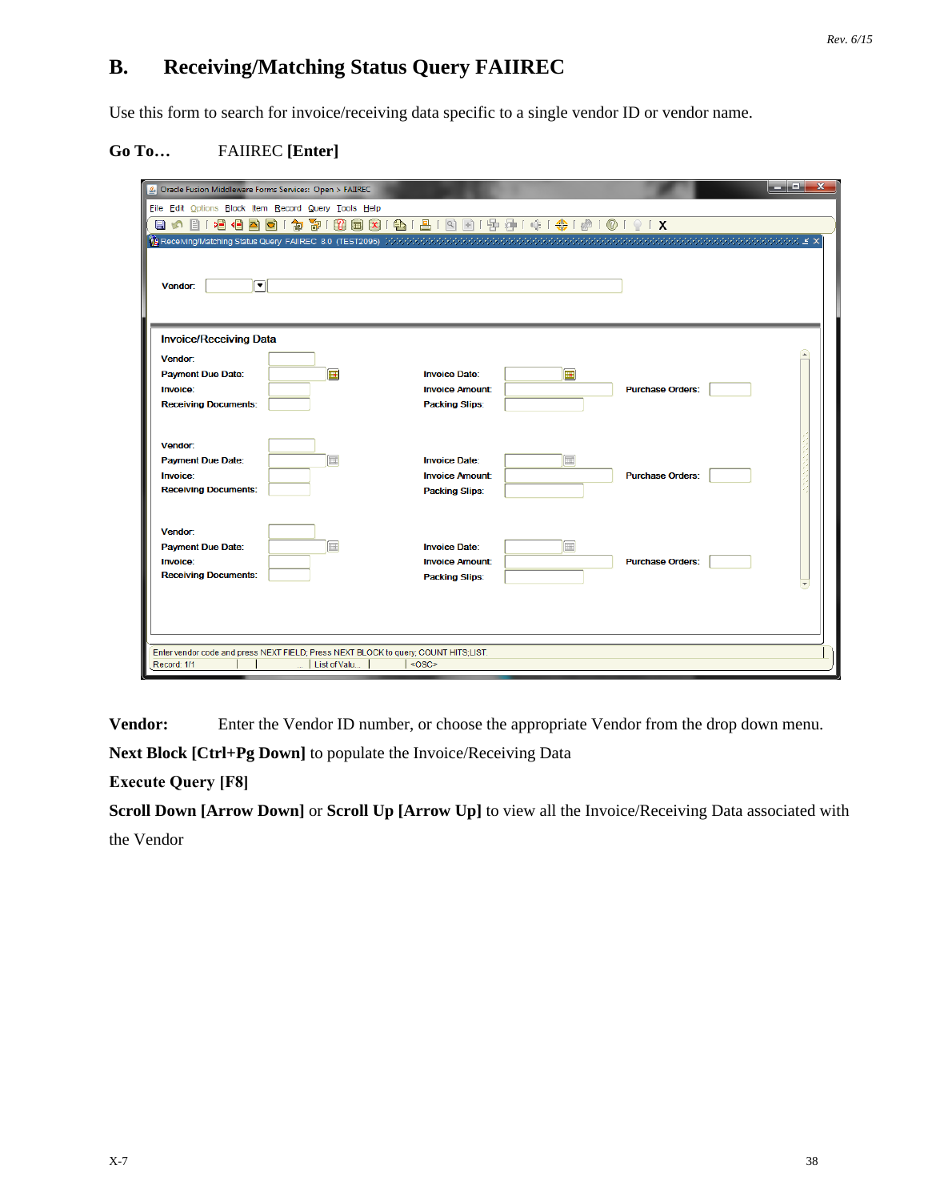### **B. Receiving/Matching Status Query FAIIREC**

Use this form to search for invoice/receiving data specific to a single vendor ID or vendor name.

#### **Go To…** FAIIREC **[Enter]**

| Dracle Fusion Middleware Forms Services: Open > FAIIREC                             |                        |                         | أركرهم<br>$\mathbf{x}$ |
|-------------------------------------------------------------------------------------|------------------------|-------------------------|------------------------|
| File Edit Options Block Item Record Query Tools Help                                |                        |                         |                        |
| 日の日1日目目は120日1日1日1日1日1日1日1日1日1日1日1日1日1日1日1日1                                         |                        |                         |                        |
|                                                                                     |                        |                         |                        |
|                                                                                     |                        |                         |                        |
| ⊡<br>Vendor:                                                                        |                        |                         |                        |
|                                                                                     |                        |                         |                        |
|                                                                                     |                        |                         |                        |
| <b>Invoice/Receiving Data</b>                                                       |                        |                         |                        |
| Vendor:                                                                             |                        |                         |                        |
| 匣<br><b>Payment Due Date:</b>                                                       | <b>Invoice Date:</b>   | 匣                       |                        |
| Invoice:                                                                            | <b>Invoice Amount:</b> | <b>Purchase Orders:</b> |                        |
| <b>Receiving Documents:</b>                                                         | <b>Packing Slips:</b>  |                         |                        |
|                                                                                     |                        |                         |                        |
| Vendor:                                                                             |                        |                         |                        |
| 氳<br><b>Payment Due Date:</b>                                                       | <b>Invoice Date:</b>   | 氳                       |                        |
| Invoice:                                                                            | <b>Invoice Amount:</b> | <b>Purchase Orders:</b> |                        |
| <b>Receiving Documents:</b>                                                         | <b>Packing Slips:</b>  |                         |                        |
|                                                                                     |                        |                         |                        |
| Vendor:                                                                             |                        |                         |                        |
| 圃<br><b>Payment Due Date:</b>                                                       | <b>Invoice Date:</b>   | 匾                       |                        |
| Invoice:                                                                            | <b>Invoice Amount:</b> | <b>Purchase Orders:</b> |                        |
| <b>Receiving Documents:</b>                                                         | <b>Packing Slips:</b>  |                         |                        |
|                                                                                     |                        |                         |                        |
|                                                                                     |                        |                         |                        |
|                                                                                     |                        |                         |                        |
| Enter vendor code and press NEXT FIELD; Press NEXT BLOCK to query; COUNT HITS;LIST. |                        |                         |                        |
| Record: 1/1<br>List of Valu                                                         | $<$ OSC>               |                         |                        |

**Vendor:** Enter the Vendor ID number, or choose the appropriate Vendor from the drop down menu.

**Next Block [Ctrl+Pg Down]** to populate the Invoice/Receiving Data

**Execute Query [F8]**

**Scroll Down [Arrow Down]** or **Scroll Up [Arrow Up]** to view all the Invoice/Receiving Data associated with the Vendor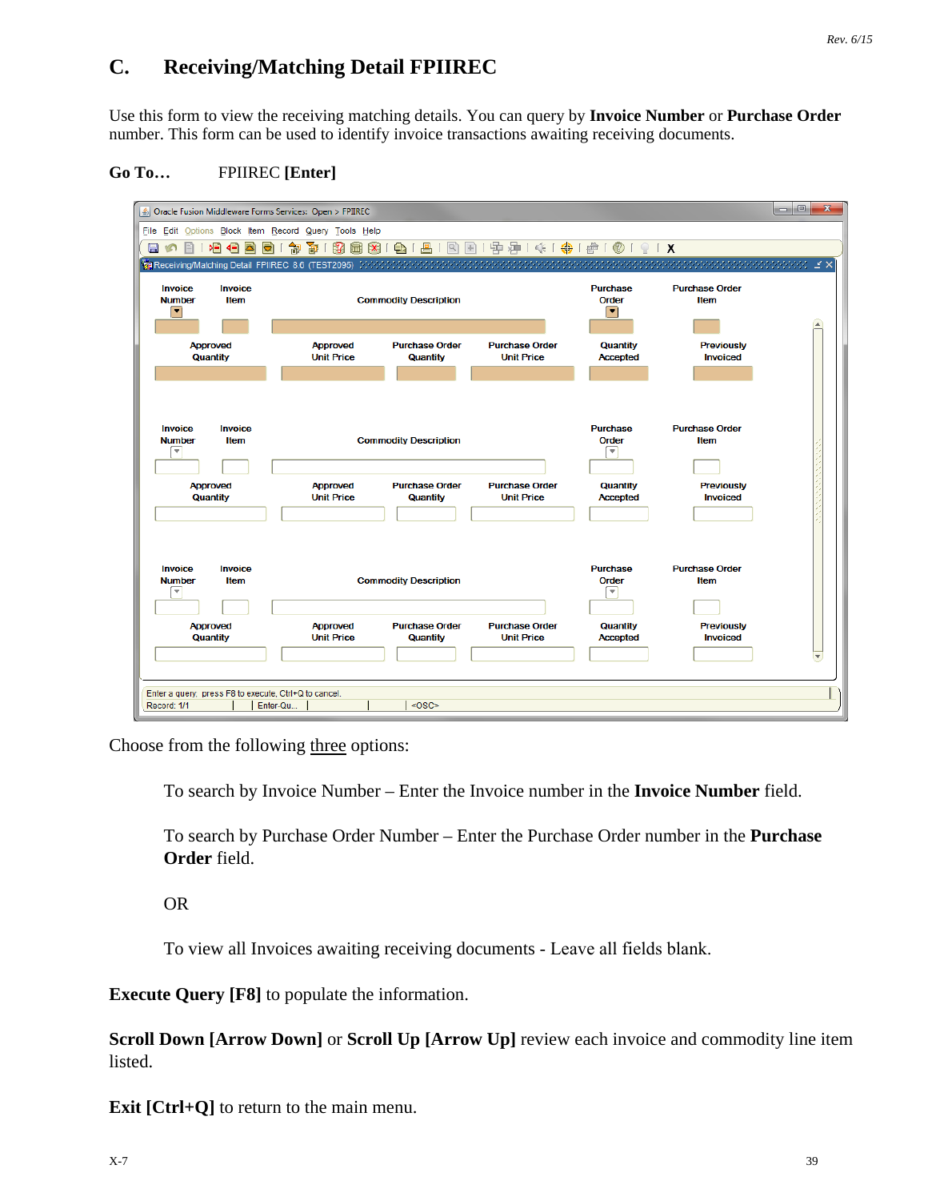# **C. Receiving/Matching Detail FPIIREC**

Use this form to view the receiving matching details. You can query by **Invoice Number** or **Purchase Order** number. This form can be used to identify invoice transactions awaiting receiving documents.

#### **Go To…** FPIIREC **[Enter]**

| File Edit Options Block Item Record Query Tools Help<br>132<br>≽⊟<br>訇<br>阁<br>日の<br>⊲⊟<br>k<br>眉<br>ē<br>⊻ ×<br><b>Invoice</b><br><b>Purchase Order</b><br><b>Invoice</b><br><b>Purchase</b><br>Item<br><b>Number</b><br>Item<br><b>Commodity Description</b><br>Order<br>$\overline{\mathbf{v}}$<br>٠<br>$\left  \Delta \right $<br><b>Approved</b><br><b>Approved</b><br><b>Purchase Order</b><br><b>Purchase Order</b><br>Quantity<br><b>Previously</b><br>Quantity<br><b>Unit Price</b><br>Quantity<br><b>Unit Price</b><br><b>Accepted</b><br><b>Invoiced</b><br><b>Invoice</b><br><b>Invoice</b><br><b>Purchase</b><br><b>Purchase Order</b><br><b>Commodity Description</b><br><b>Item</b><br><b>Number</b><br>Item<br><b>Order</b><br>$\overline{\phantom{a}}$<br>÷<br><b>Approved</b><br><b>Approved</b><br><b>Purchase Order</b><br><b>Purchase Order</b><br>Quantity<br><b>Previously</b><br>Quantity<br><b>Unit Price</b><br><b>Unit Price</b><br><b>Invoiced</b><br>Quantity<br><b>Accepted</b><br><b>Purchase Order</b><br><b>Invoice</b><br><b>Invoice</b><br><b>Purchase</b><br><b>Number</b><br>Item<br><b>Commodity Description</b><br>Order<br><b>Item</b><br>≂<br>÷<br><b>Approved</b><br><b>Approved</b><br><b>Purchase Order</b><br><b>Purchase Order</b><br>Quantity<br><b>Previously</b><br>Quantity<br><b>Unit Price</b><br><b>Unit Price</b><br><b>Accepted</b><br><b>Invoiced</b><br>Quantity<br>$\blacktriangledown$ | Oracle Fusion Middleware Forms Services: Open > FPIIREC |  |  |  | $\begin{array}{c c c c c c} \hline \multicolumn{3}{c }{\mathbf{C}} & \multicolumn{3}{c }{\mathbf{C}} \end{array}$<br>$\mathbf{x}$ |
|---------------------------------------------------------------------------------------------------------------------------------------------------------------------------------------------------------------------------------------------------------------------------------------------------------------------------------------------------------------------------------------------------------------------------------------------------------------------------------------------------------------------------------------------------------------------------------------------------------------------------------------------------------------------------------------------------------------------------------------------------------------------------------------------------------------------------------------------------------------------------------------------------------------------------------------------------------------------------------------------------------------------------------------------------------------------------------------------------------------------------------------------------------------------------------------------------------------------------------------------------------------------------------------------------------------------------------------------------------------------------------------------------------------------------------------------------|---------------------------------------------------------|--|--|--|-----------------------------------------------------------------------------------------------------------------------------------|
|                                                                                                                                                                                                                                                                                                                                                                                                                                                                                                                                                                                                                                                                                                                                                                                                                                                                                                                                                                                                                                                                                                                                                                                                                                                                                                                                                                                                                                                   |                                                         |  |  |  |                                                                                                                                   |
|                                                                                                                                                                                                                                                                                                                                                                                                                                                                                                                                                                                                                                                                                                                                                                                                                                                                                                                                                                                                                                                                                                                                                                                                                                                                                                                                                                                                                                                   |                                                         |  |  |  |                                                                                                                                   |
|                                                                                                                                                                                                                                                                                                                                                                                                                                                                                                                                                                                                                                                                                                                                                                                                                                                                                                                                                                                                                                                                                                                                                                                                                                                                                                                                                                                                                                                   |                                                         |  |  |  |                                                                                                                                   |
|                                                                                                                                                                                                                                                                                                                                                                                                                                                                                                                                                                                                                                                                                                                                                                                                                                                                                                                                                                                                                                                                                                                                                                                                                                                                                                                                                                                                                                                   |                                                         |  |  |  |                                                                                                                                   |
|                                                                                                                                                                                                                                                                                                                                                                                                                                                                                                                                                                                                                                                                                                                                                                                                                                                                                                                                                                                                                                                                                                                                                                                                                                                                                                                                                                                                                                                   |                                                         |  |  |  |                                                                                                                                   |
|                                                                                                                                                                                                                                                                                                                                                                                                                                                                                                                                                                                                                                                                                                                                                                                                                                                                                                                                                                                                                                                                                                                                                                                                                                                                                                                                                                                                                                                   |                                                         |  |  |  |                                                                                                                                   |
|                                                                                                                                                                                                                                                                                                                                                                                                                                                                                                                                                                                                                                                                                                                                                                                                                                                                                                                                                                                                                                                                                                                                                                                                                                                                                                                                                                                                                                                   |                                                         |  |  |  |                                                                                                                                   |
| Enter a query; press F8 to execute, Ctrl+Q to cancel.<br><0SC><br>Enter-Qu<br>Record: 1/1                                                                                                                                                                                                                                                                                                                                                                                                                                                                                                                                                                                                                                                                                                                                                                                                                                                                                                                                                                                                                                                                                                                                                                                                                                                                                                                                                         |                                                         |  |  |  |                                                                                                                                   |

Choose from the following three options:

To search by Invoice Number – Enter the Invoice number in the **Invoice Number** field.

To search by Purchase Order Number – Enter the Purchase Order number in the **Purchase Order** field.

OR

To view all Invoices awaiting receiving documents - Leave all fields blank.

**Execute Query [F8]** to populate the information.

**Scroll Down [Arrow Down]** or **Scroll Up [Arrow Up]** review each invoice and commodity line item listed.

**Exit [Ctrl+Q]** to return to the main menu.